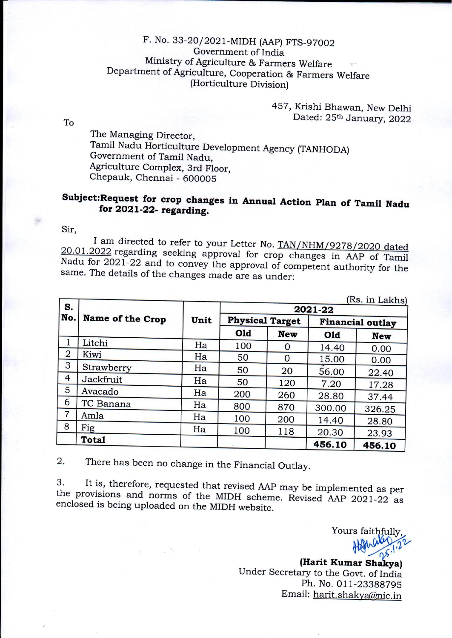## F. No. 33-20/2021-MIDH (AAP) FTS-97002 Government of India Ministry of Agriculture & Farmers Welfare Department of Agriculture, Cooperation & Farmers Welfare (Horticulture Division)

457, Krishi Bhawan, New Delhi Dated: 25th January, 2022

To

The Managing Director, Tamil Nadu Horticulture Development Agency (TANHODA) Government of Tamil Nadu. Agriculture Complex, 3rd Floor, Chepauk, Chennai - 600005

## Subject: Request for crop changes in Annual Action Plan of Tamil Nadu for 2021-22- regarding.

Sir.

I am directed to refer to your Letter No. TAN/NHM/9278/2020 dated 20.01.2022 regarding seeking approval for crop changes in AAP of Tamil Nadu for 2021-22 and to convey the approval of competent authority for the same. The details of the changes made are as under:

| S.             |                  |      |     | (Rs. in Lakhs)         |        |                         |
|----------------|------------------|------|-----|------------------------|--------|-------------------------|
| No.            | Name of the Crop | Unit |     | <b>Physical Target</b> |        | <b>Financial outlay</b> |
|                |                  |      | Old | <b>New</b>             | Old    | <b>New</b>              |
|                | Litchi           | Ha   | 100 | 0                      | 14.40  | 0.00                    |
| $\overline{2}$ | Kiwi             | Ha   | 50  | 0                      | 15.00  | 0.00                    |
| 3              | Strawberry       | Ha   | 50  | 20                     | 56.00  | 22.40                   |
| 4              | Jackfruit        | Ha   | 50  | 120                    | 7.20   | 17.28                   |
| 5              | Avacado          | Ha   | 200 | 260                    | 28.80  | 37.44                   |
| 6              | TC Banana        | Ha   | 800 | 870                    | 300.00 | 326.25                  |
| $\overline{7}$ | Amla             | Ha   | 100 | 200                    | 14.40  |                         |
| 8              | Fig              | Ha   | 100 | 118                    | 20.30  | 28.80                   |
|                | <b>Total</b>     |      |     |                        | 456.10 | 23.93<br>456.10         |

 $\overline{2}$ . There has been no change in the Financial Outlay.

It is, therefore, requested that revised AAP may be implemented as per 3. the provisions and norms of the MIDH scheme. Revised AAP 2021-22 as enclosed is being uploaded on the MIDH website.

Yours faithfully

(Harit Kumar Shakya) Under Secretary to the Govt. of India Ph. No. 011-23388795 Email: harit.shakya@nic.in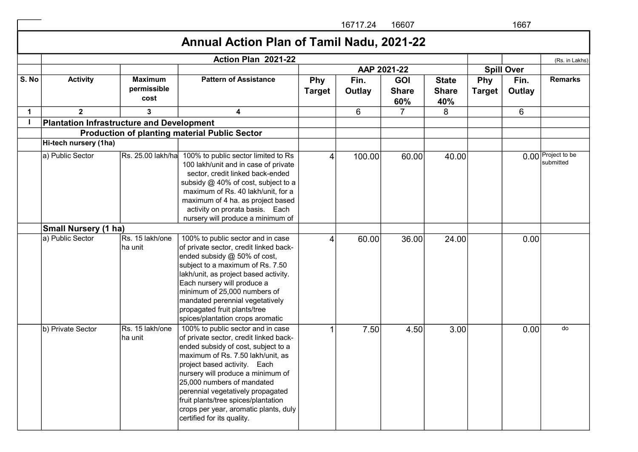|             |                                                  |                                       |                                                                                                                                                                                                                                                                                                                                                                                                               |                             | 16717.24       | 16607                             |                                     |               | 1667              |                                 |
|-------------|--------------------------------------------------|---------------------------------------|---------------------------------------------------------------------------------------------------------------------------------------------------------------------------------------------------------------------------------------------------------------------------------------------------------------------------------------------------------------------------------------------------------------|-----------------------------|----------------|-----------------------------------|-------------------------------------|---------------|-------------------|---------------------------------|
|             |                                                  |                                       | Annual Action Plan of Tamil Nadu, 2021-22                                                                                                                                                                                                                                                                                                                                                                     |                             |                |                                   |                                     |               |                   |                                 |
|             |                                                  |                                       | Action Plan 2021-22                                                                                                                                                                                                                                                                                                                                                                                           |                             |                |                                   |                                     |               |                   | (Rs. in Lakhs)                  |
|             |                                                  |                                       |                                                                                                                                                                                                                                                                                                                                                                                                               |                             |                | AAP 2021-22                       |                                     |               | <b>Spill Over</b> |                                 |
| S. No       | <b>Activity</b>                                  | <b>Maximum</b><br>permissible<br>cost | <b>Pattern of Assistance</b>                                                                                                                                                                                                                                                                                                                                                                                  | <b>Phy</b><br><b>Target</b> | Fin.<br>Outlay | <b>GOI</b><br><b>Share</b><br>60% | <b>State</b><br><b>Share</b><br>40% | Phy<br>Target | Fin.<br>Outlay    | <b>Remarks</b>                  |
| $\mathbf 1$ | $\overline{2}$                                   | 3                                     | 4                                                                                                                                                                                                                                                                                                                                                                                                             |                             | 6              | $\overline{7}$                    | 8                                   |               | 6                 |                                 |
|             | <b>Plantation Infrastructure and Development</b> |                                       |                                                                                                                                                                                                                                                                                                                                                                                                               |                             |                |                                   |                                     |               |                   |                                 |
|             |                                                  |                                       | <b>Production of planting material Public Sector</b>                                                                                                                                                                                                                                                                                                                                                          |                             |                |                                   |                                     |               |                   |                                 |
|             | Hi-tech nursery (1ha)                            |                                       |                                                                                                                                                                                                                                                                                                                                                                                                               |                             |                |                                   |                                     |               |                   |                                 |
|             | a) Public Sector                                 | Rs. 25.00 lakh/ha                     | 100% to public sector limited to Rs<br>100 lakh/unit and in case of private<br>sector, credit linked back-ended<br>subsidy @ 40% of cost, subject to a<br>maximum of Rs. 40 lakh/unit, for a<br>maximum of 4 ha. as project based<br>activity on prorata basis. Each<br>nursery will produce a minimum of                                                                                                     | 4                           | 100.00         | 60.00                             | 40.00                               |               |                   | 0.00 Project to be<br>submitted |
|             | <b>Small Nursery (1 ha)</b>                      |                                       |                                                                                                                                                                                                                                                                                                                                                                                                               |                             |                |                                   |                                     |               |                   |                                 |
|             | a) Public Sector                                 | Rs. 15 lakh/one<br>ha unit            | 100% to public sector and in case<br>of private sector, credit linked back-<br>ended subsidy @ 50% of cost,<br>subject to a maximum of Rs. 7.50<br>lakh/unit, as project based activity.<br>Each nursery will produce a<br>minimum of 25,000 numbers of<br>mandated perennial vegetatively<br>propagated fruit plants/tree<br>spices/plantation crops aromatic                                                | 4                           | 60.00          | 36.00                             | 24.00                               |               | 0.00              |                                 |
|             | b) Private Sector                                | Rs. 15 lakh/one<br>ha unit            | 100% to public sector and in case<br>of private sector, credit linked back-<br>ended subsidy of cost, subject to a<br>maximum of Rs. 7.50 lakh/unit, as<br>project based activity. Each<br>nursery will produce a minimum of<br>25,000 numbers of mandated<br>perennial vegetatively propagated<br>fruit plants/tree spices/plantation<br>crops per year, aromatic plants, duly<br>certified for its quality. |                             | 7.50           | 4.50                              | 3.00                                |               | 0.00              | do                              |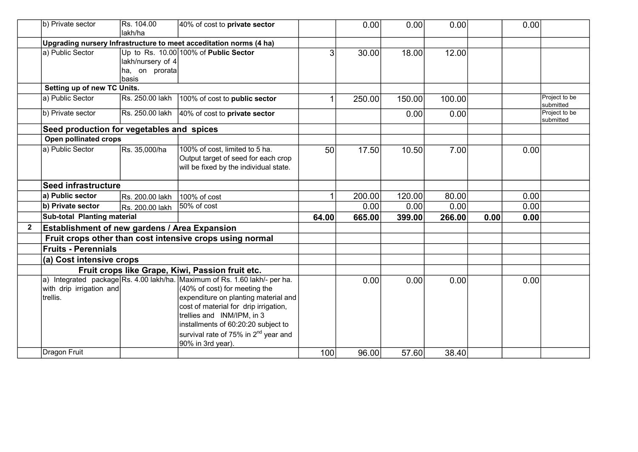|   | b) Private sector                                    | Rs. 104.00               | 40% of cost to <b>private sector</b>                                       |       | 0.00   | 0.00   | 0.00   |      | 0.00 |                            |
|---|------------------------------------------------------|--------------------------|----------------------------------------------------------------------------|-------|--------|--------|--------|------|------|----------------------------|
|   |                                                      | lakh/ha                  |                                                                            |       |        |        |        |      |      |                            |
|   |                                                      |                          | Upgrading nursery Infrastructure to meet acceditation norms (4 ha)         |       |        |        |        |      |      |                            |
|   | a) Public Sector                                     |                          | Up to Rs. 10.00 100% of Public Sector                                      | 3     | 30.00  | 18.00  | 12.00  |      |      |                            |
|   |                                                      | lakh/nursery of 4        |                                                                            |       |        |        |        |      |      |                            |
|   |                                                      | ha, on prorata<br> basis |                                                                            |       |        |        |        |      |      |                            |
|   | Setting up of new TC Units.                          |                          |                                                                            |       |        |        |        |      |      |                            |
|   | a) Public Sector                                     | Rs. 250.00 lakh          | 100% of cost to public sector                                              |       | 250.00 | 150.00 | 100.00 |      |      | Project to be              |
|   |                                                      |                          |                                                                            |       |        |        |        |      |      | submitted                  |
|   | b) Private sector                                    | Rs. 250.00 lakh          | 40% of cost to private sector                                              |       |        | 0.00   | 0.00   |      |      | Project to be<br>submitted |
|   | Seed production for vegetables and spices            |                          |                                                                            |       |        |        |        |      |      |                            |
|   | Open pollinated crops                                |                          |                                                                            |       |        |        |        |      |      |                            |
|   | a) Public Sector                                     | Rs. 35,000/ha            | 100% of cost, limited to 5 ha.                                             | 50    | 17.50  | 10.50  | 7.00   |      | 0.00 |                            |
|   |                                                      |                          | Output target of seed for each crop                                        |       |        |        |        |      |      |                            |
|   |                                                      |                          | will be fixed by the individual state.                                     |       |        |        |        |      |      |                            |
|   | <b>Seed infrastructure</b>                           |                          |                                                                            |       |        |        |        |      |      |                            |
|   | a) Public sector                                     | Rs. 200.00 lakh          | 100% of cost                                                               |       | 200.00 | 120.00 | 80.00  |      | 0.00 |                            |
|   | b) Private sector                                    | Rs. 200.00 lakh          | 50% of cost                                                                |       | 0.00   | 0.00   | 0.00   |      | 0.00 |                            |
|   | Sub-total Planting material                          |                          |                                                                            | 64.00 | 665.00 | 399.00 | 266.00 | 0.00 | 0.00 |                            |
| 2 | <b>Establishment of new gardens / Area Expansion</b> |                          |                                                                            |       |        |        |        |      |      |                            |
|   |                                                      |                          | Fruit crops other than cost intensive crops using normal                   |       |        |        |        |      |      |                            |
|   | <b>Fruits - Perennials</b>                           |                          |                                                                            |       |        |        |        |      |      |                            |
|   | (a) Cost intensive crops                             |                          |                                                                            |       |        |        |        |      |      |                            |
|   |                                                      |                          | Fruit crops like Grape, Kiwi, Passion fruit etc.                           |       |        |        |        |      |      |                            |
|   |                                                      |                          | a) Integrated package Rs. 4.00 lakh/ha. Maximum of Rs. 1.60 lakh/- per ha. |       | 0.00   | 0.00   | 0.00   |      | 0.00 |                            |
|   | with drip irrigation and                             |                          | $(40\% \text{ of cost})$ for meeting the                                   |       |        |        |        |      |      |                            |
|   | trellis.                                             |                          | expenditure on planting material and                                       |       |        |        |        |      |      |                            |
|   |                                                      |                          | cost of material for drip irrigation,                                      |       |        |        |        |      |      |                            |
|   |                                                      |                          | trellies and INM/IPM, in 3                                                 |       |        |        |        |      |      |                            |
|   |                                                      |                          | installments of 60:20:20 subject to                                        |       |        |        |        |      |      |                            |
|   |                                                      |                          | survival rate of 75% in 2 <sup>nd</sup> year and<br>90% in 3rd year)       |       |        |        |        |      |      |                            |
|   | <b>Dragon Fruit</b>                                  |                          |                                                                            | 100   | 96.00  | 57.60  | 38.40  |      |      |                            |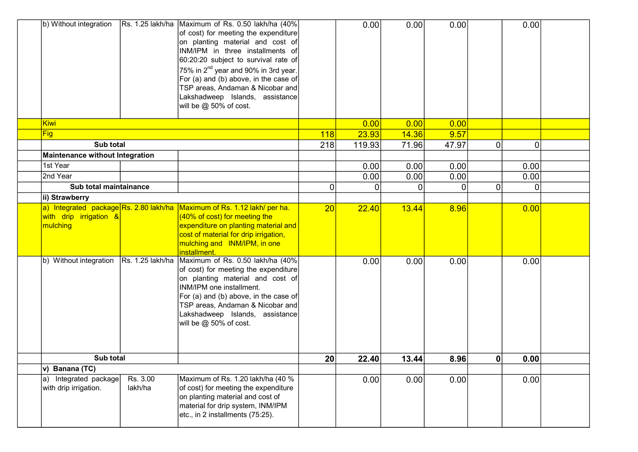| b) Without integration                            |                     | Rs. 1.25 lakh/ha Maximum of Rs. 0.50 lakh/ha (40%)<br>of cost) for meeting the expenditure<br>on planting material and cost of<br>INM/IPM in three installments of<br>60:20:20 subject to survival rate of<br>$75\%$ in 2 <sup>nd</sup> year and 90% in 3rd year.<br>For (a) and (b) above, in the case of<br>TSP areas, Andaman & Nicobar and<br>Lakshadweep Islands, assistance<br>will be @ 50% of cost. |            | 0.00     | 0.00     | 0.00  |           | 0.00           |  |
|---------------------------------------------------|---------------------|-------------------------------------------------------------------------------------------------------------------------------------------------------------------------------------------------------------------------------------------------------------------------------------------------------------------------------------------------------------------------------------------------------------|------------|----------|----------|-------|-----------|----------------|--|
| <b>Kiwi</b>                                       |                     |                                                                                                                                                                                                                                                                                                                                                                                                             |            | 0.00     | 0.00     | 0.00  |           |                |  |
| <b>Fig</b>                                        |                     |                                                                                                                                                                                                                                                                                                                                                                                                             | <b>118</b> | 23.93    | 14.36    | 9.57  |           |                |  |
| Sub total                                         |                     |                                                                                                                                                                                                                                                                                                                                                                                                             | 218        | 119.93   | 71.96    | 47.97 | $\Omega$  | $\overline{0}$ |  |
| <b>Maintenance without Integration</b>            |                     |                                                                                                                                                                                                                                                                                                                                                                                                             |            |          |          |       |           |                |  |
| 1st Year                                          |                     |                                                                                                                                                                                                                                                                                                                                                                                                             |            | 0.00     | 0.00     | 0.00  |           | 0.00           |  |
| 2nd Year                                          |                     |                                                                                                                                                                                                                                                                                                                                                                                                             |            | 0.00     | 0.00     | 0.00  |           | 0.00           |  |
| Sub total maintainance                            |                     |                                                                                                                                                                                                                                                                                                                                                                                                             | 0          | $\Omega$ | $\Omega$ | 0     | $\Omega$  | ΩI             |  |
| ii) Strawberry                                    |                     |                                                                                                                                                                                                                                                                                                                                                                                                             |            |          |          |       |           |                |  |
| with drip irrigation &<br>mulching                |                     | a) Integrated package Rs. 2.80 lakh/ha Maximum of Rs. 1.12 lakh/ per ha.<br>(40% of cost) for meeting the<br>expenditure on planting material and<br>cost of material for drip irrigation,<br>mulching and INM/IPM, in one<br>installment.                                                                                                                                                                  | 20         | 22.40    | 13.44    | 8.96  |           | 0.00           |  |
| b) Without integration                            | Rs. 1.25 lakh/ha    | Maximum of Rs. 0.50 lakh/ha (40%)<br>of cost) for meeting the expenditure<br>on planting material and cost of<br>INM/IPM one installment.<br>For (a) and (b) above, in the case of<br>TSP areas, Andaman & Nicobar and<br>Lakshadweep Islands, assistance<br>will be @ 50% of cost.                                                                                                                         |            | 0.00     | 0.00     | 0.00  |           | 0.00           |  |
| Sub total                                         |                     |                                                                                                                                                                                                                                                                                                                                                                                                             | 20         | 22.40    | 13.44    | 8.96  | $\pmb{0}$ | 0.00           |  |
| v) Banana (TC)                                    |                     |                                                                                                                                                                                                                                                                                                                                                                                                             |            |          |          |       |           |                |  |
| Integrated package<br>a)<br>with drip irrigation. | Rs. 3.00<br>lakh/ha | Maximum of Rs. 1.20 lakh/ha (40 %<br>of cost) for meeting the expenditure<br>on planting material and cost of<br>material for drip system, INM/IPM<br>etc., in 2 installments (75:25).                                                                                                                                                                                                                      |            | 0.00     | 0.00     | 0.00  |           | 0.00           |  |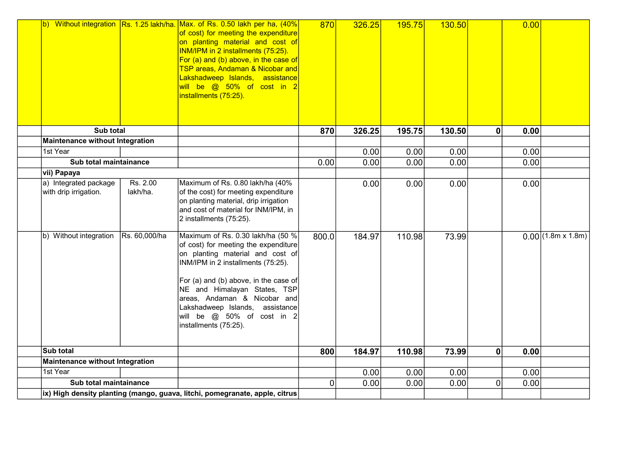|                                                |                      | b) Without integration Rs. 1.25 lakh/ha. Max. of Rs. 0.50 lakh per ha, (40%<br>of cost) for meeting the expenditure<br>on planting material and cost of<br>INM/IPM in 2 installments (75:25).<br>For (a) and (b) above, in the case of<br>TSP areas, Andaman & Nicobar and<br>Lakshadweep Islands, assistance<br>will be @ 50% of cost in 2<br>installments (75:25). | 870   | 326.25 | <b>195.75</b> | 130.50 |                | 0.00 |                      |
|------------------------------------------------|----------------------|----------------------------------------------------------------------------------------------------------------------------------------------------------------------------------------------------------------------------------------------------------------------------------------------------------------------------------------------------------------------|-------|--------|---------------|--------|----------------|------|----------------------|
| Sub total                                      |                      |                                                                                                                                                                                                                                                                                                                                                                      | 870   | 326.25 | 195.75        | 130.50 | $\mathbf 0$    | 0.00 |                      |
| <b>Maintenance without Integration</b>         |                      |                                                                                                                                                                                                                                                                                                                                                                      |       |        |               |        |                |      |                      |
| 1st Year                                       |                      |                                                                                                                                                                                                                                                                                                                                                                      |       | 0.00   | 0.00          | 0.00   |                | 0.00 |                      |
| Sub total maintainance                         |                      |                                                                                                                                                                                                                                                                                                                                                                      | 0.00  | 0.00   | 0.00          | 0.00   |                | 0.00 |                      |
| vii) Papaya                                    |                      |                                                                                                                                                                                                                                                                                                                                                                      |       |        |               |        |                |      |                      |
| a) Integrated package<br>with drip irrigation. | Rs. 2.00<br>lakh/ha. | Maximum of Rs. 0.80 lakh/ha (40%<br>of the cost) for meeting expenditure<br>on planting material, drip irrigation<br>and cost of material for INM/IPM, in<br>2 installments (75:25).                                                                                                                                                                                 |       | 0.00   | 0.00          | 0.00   |                | 0.00 |                      |
| b) Without integration                         | Rs. 60,000/ha        | Maximum of Rs. 0.30 lakh/ha (50 %<br>of cost) for meeting the expenditure<br>on planting material and cost of<br>INM/IPM in 2 installments (75:25).<br>For (a) and (b) above, in the case of<br>NE and Himalayan States, TSP<br>areas, Andaman & Nicobar and<br>Lakshadweep Islands, assistance<br>will be @ 50% of cost in 2<br>installments (75:25).               | 800.0 | 184.97 | 110.98        | 73.99  |                |      | $0.00$ (1.8m x 1.8m) |
| Sub total                                      |                      |                                                                                                                                                                                                                                                                                                                                                                      | 800   | 184.97 | 110.98        | 73.99  | $\mathbf{0}$   | 0.00 |                      |
| <b>Maintenance without Integration</b>         |                      |                                                                                                                                                                                                                                                                                                                                                                      |       |        |               |        |                |      |                      |
| 1st Year                                       |                      |                                                                                                                                                                                                                                                                                                                                                                      |       | 0.00   | 0.00          | 0.00   |                | 0.00 |                      |
| Sub total maintainance                         |                      |                                                                                                                                                                                                                                                                                                                                                                      | 0     | 0.00   | 0.00          | 0.00   | $\overline{0}$ | 0.00 |                      |
|                                                |                      | ix) High density planting (mango, guava, litchi, pomegranate, apple, citrus                                                                                                                                                                                                                                                                                          |       |        |               |        |                |      |                      |

etc).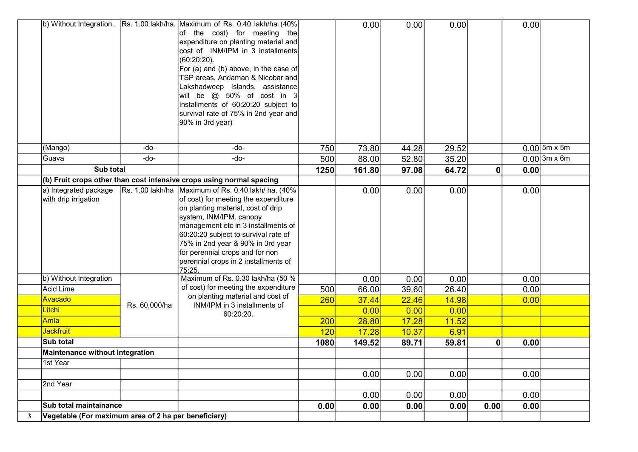|              | b) Without Integration.                              |               | Rs. 1.00 lakh/ha. Maximum of Rs. 0.40 lakh/ha (40%)<br>of the cost) for meeting the<br>expenditure on planting material and<br>cost of INM/IPM in 3 installments<br>$(60:20:20)$ .<br>For (a) and (b) above, in the case of<br>TSP areas, Andaman & Nicobar and<br>Lakshadweep Islands, assistance<br>will be $@$ 50% of cost in 3<br>installments of 60:20:20 subject to<br>survival rate of 75% in 2nd year and<br>90% in 3rd year) |      | 0.00   | 0.00  | 0.00  |      | 0.00 |                |
|--------------|------------------------------------------------------|---------------|---------------------------------------------------------------------------------------------------------------------------------------------------------------------------------------------------------------------------------------------------------------------------------------------------------------------------------------------------------------------------------------------------------------------------------------|------|--------|-------|-------|------|------|----------------|
|              | (Mango)                                              | -do-          | -do-                                                                                                                                                                                                                                                                                                                                                                                                                                  | 750  | 73.80  | 44.28 | 29.52 |      |      | $0.00$ 5m x 5m |
|              | Guava                                                | -do-          | -do-                                                                                                                                                                                                                                                                                                                                                                                                                                  | 500  | 88.00  | 52.80 | 35.20 |      |      | $0.00$ 3m x 6m |
|              | Sub total                                            |               |                                                                                                                                                                                                                                                                                                                                                                                                                                       | 1250 | 161.80 | 97.08 | 64.72 | 0    | 0.00 |                |
|              |                                                      |               | (b) Fruit crops other than cost intensive crops using normal spacing                                                                                                                                                                                                                                                                                                                                                                  |      |        |       |       |      |      |                |
|              | a) Integrated package<br>with drip irrigation        |               | Rs. 1.00 lakh/ha Maximum of Rs. 0.40 lakh/ ha. (40%<br>of cost) for meeting the expenditure<br>on planting material, cost of drip<br>system, INM/IPM, canopy<br>management etc in 3 installments of<br>60:20:20 subject to survival rate of<br>75% in 2nd year & 90% in 3rd year<br>for perennial crops and for non<br>perennial crops in 2 installments of<br>75:25.                                                                 |      | 0.00   | 0.00  | 0.00  |      | 0.00 |                |
|              | b) Without Integration                               |               | Maximum of Rs. 0.30 lakh/ha (50 %                                                                                                                                                                                                                                                                                                                                                                                                     |      | 0.00   | 0.00  | 0.00  |      | 0.00 |                |
|              | <b>Acid Lime</b>                                     |               | of cost) for meeting the expenditure                                                                                                                                                                                                                                                                                                                                                                                                  | 500  | 66.00  | 39.60 | 26.40 |      | 0.00 |                |
|              | Avacado                                              | Rs. 60,000/ha | on planting material and cost of<br>INM/IPM in 3 installments of                                                                                                                                                                                                                                                                                                                                                                      | 260  | 37.44  | 22.46 | 14.98 |      | 0.00 |                |
|              | Litchi                                               |               | 60:20:20.                                                                                                                                                                                                                                                                                                                                                                                                                             |      | 0.00   | 0.00  | 0.00  |      |      |                |
|              | Amla                                                 |               |                                                                                                                                                                                                                                                                                                                                                                                                                                       | 200  | 28.80  | 17.28 | 11.52 |      |      |                |
|              | Jackfruit                                            |               |                                                                                                                                                                                                                                                                                                                                                                                                                                       | 120  | 17.28  | 10.37 | 6.91  |      |      |                |
|              | Sub total                                            |               |                                                                                                                                                                                                                                                                                                                                                                                                                                       | 1080 | 149.52 | 89.71 | 59.81 | 0    | 0.00 |                |
|              | <b>Maintenance without Integration</b>               |               |                                                                                                                                                                                                                                                                                                                                                                                                                                       |      |        |       |       |      |      |                |
|              | 1st Year                                             |               |                                                                                                                                                                                                                                                                                                                                                                                                                                       |      |        |       |       |      |      |                |
|              | 2nd Year                                             |               |                                                                                                                                                                                                                                                                                                                                                                                                                                       |      | 0.00   | 0.00  | 0.00  |      | 0.00 |                |
|              |                                                      |               |                                                                                                                                                                                                                                                                                                                                                                                                                                       |      |        |       |       |      |      |                |
|              | Sub total maintainance                               |               |                                                                                                                                                                                                                                                                                                                                                                                                                                       |      | 0.00   | 0.00  | 0.00  |      | 0.00 |                |
|              |                                                      |               |                                                                                                                                                                                                                                                                                                                                                                                                                                       | 0.00 | 0.00   | 0.00  | 0.00  | 0.00 | 0.00 |                |
| $\mathbf{3}$ | Vegetable (For maximum area of 2 ha per beneficiary) |               |                                                                                                                                                                                                                                                                                                                                                                                                                                       |      |        |       |       |      |      |                |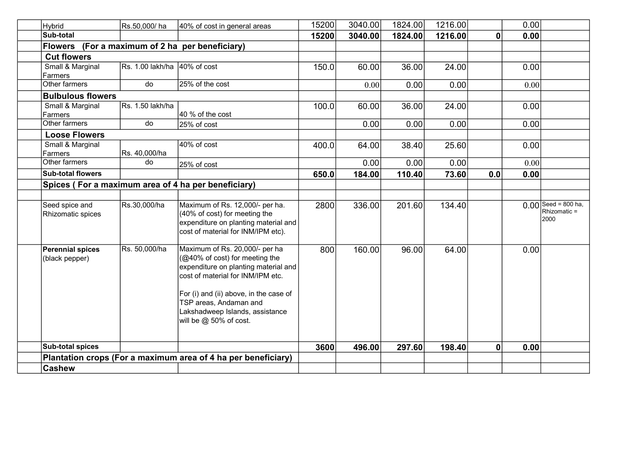| <b>Hybrid</b>                             | Rs.50,000/ha                            | 40% of cost in general areas                                                                                                                                                                                                                                                              | 15200 | 3040.00 | 1824.00 | 1216.00 |             | 0.00 |                                               |
|-------------------------------------------|-----------------------------------------|-------------------------------------------------------------------------------------------------------------------------------------------------------------------------------------------------------------------------------------------------------------------------------------------|-------|---------|---------|---------|-------------|------|-----------------------------------------------|
| Sub-total                                 |                                         |                                                                                                                                                                                                                                                                                           | 15200 | 3040.00 | 1824.00 | 1216.00 | $\mathbf 0$ | 0.00 |                                               |
| <b>Flowers</b>                            | (For a maximum of 2 ha per beneficiary) |                                                                                                                                                                                                                                                                                           |       |         |         |         |             |      |                                               |
| <b>Cut flowers</b>                        |                                         |                                                                                                                                                                                                                                                                                           |       |         |         |         |             |      |                                               |
| Small & Marginal<br>Farmers               | Rs. 1.00 lakh/ha 40% of cost            |                                                                                                                                                                                                                                                                                           | 150.0 | 60.00   | 36.00   | 24.00   |             | 0.00 |                                               |
| Other farmers                             | do                                      | 25% of the cost                                                                                                                                                                                                                                                                           |       | 0.00    | 0.00    | 0.00    |             | 0.00 |                                               |
| <b>Bulbulous flowers</b>                  |                                         |                                                                                                                                                                                                                                                                                           |       |         |         |         |             |      |                                               |
| Small & Marginal<br>Farmers               | Rs. 1.50 lakh/ha                        | 40 % of the cost                                                                                                                                                                                                                                                                          | 100.0 | 60.00   | 36.00   | 24.00   |             | 0.00 |                                               |
| Other farmers                             | do                                      | 25% of cost                                                                                                                                                                                                                                                                               |       | 0.00    | 0.00    | 0.00    |             | 0.00 |                                               |
| <b>Loose Flowers</b>                      |                                         |                                                                                                                                                                                                                                                                                           |       |         |         |         |             |      |                                               |
| Small & Marginal<br>Farmers               | Rs. 40,000/ha                           | 40% of cost                                                                                                                                                                                                                                                                               | 400.0 | 64.00   | 38.40   | 25.60   |             | 0.00 |                                               |
| Other farmers                             | do                                      | 25% of cost                                                                                                                                                                                                                                                                               |       | 0.00    | 0.00    | 0.00    |             | 0.00 |                                               |
| <b>Sub-total flowers</b>                  |                                         |                                                                                                                                                                                                                                                                                           | 650.0 | 184.00  | 110.40  | 73.60   | 0.0         | 0.00 |                                               |
|                                           |                                         | Spices (For a maximum area of 4 ha per beneficiary)                                                                                                                                                                                                                                       |       |         |         |         |             |      |                                               |
|                                           |                                         |                                                                                                                                                                                                                                                                                           |       |         |         |         |             |      |                                               |
| Seed spice and<br>Rhizomatic spices       | Rs.30,000/ha                            | Maximum of Rs. 12,000/- per ha.<br>(40% of cost) for meeting the<br>expenditure on planting material and<br>cost of material for INM/IPM etc).                                                                                                                                            | 2800  | 336.00  | 201.60  | 134.40  |             |      | $0.00$ Seed = 800 ha,<br>Rhizomatic =<br>2000 |
| <b>Perennial spices</b><br>(black pepper) | Rs. 50,000/ha                           | Maximum of Rs. 20,000/- per ha<br>$(Q40\% \text{ of cost})$ for meeting the<br>expenditure on planting material and<br>cost of material for INM/IPM etc.<br>For (i) and (ii) above, in the case of<br>TSP areas, Andaman and<br>Lakshadweep Islands, assistance<br>will be @ 50% of cost. | 800   | 160.00  | 96.00   | 64.00   |             | 0.00 |                                               |
| Sub-total spices                          |                                         |                                                                                                                                                                                                                                                                                           | 3600  | 496.00  | 297.60  | 198.40  | $\bf{0}$    | 0.00 |                                               |
|                                           |                                         | Plantation crops (For a maximum area of 4 ha per beneficiary)                                                                                                                                                                                                                             |       |         |         |         |             |      |                                               |
| <b>Cashew</b>                             |                                         |                                                                                                                                                                                                                                                                                           |       |         |         |         |             |      |                                               |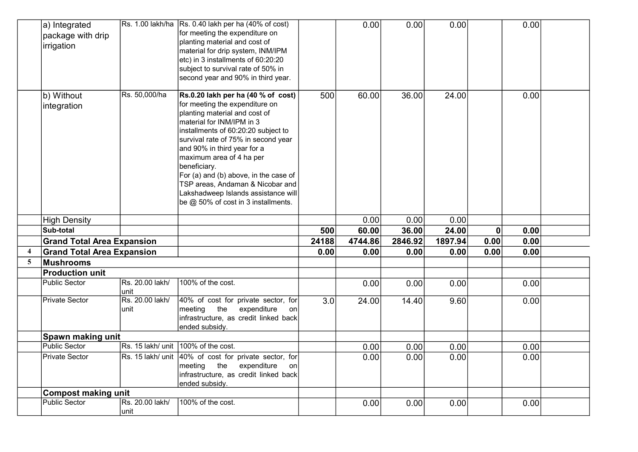|                  | a) Integrated<br>package with drip<br>irrigation |                         | $\overline{R}$ s. 1.00 lakh/ha $\overline{R}$ s. 0.40 lakh per ha (40% of cost)<br>for meeting the expenditure on<br>planting material and cost of<br>material for drip system, INM/IPM<br>etc) in 3 installments of 60:20:20<br>subject to survival rate of 50% in<br>second year and 90% in third year.                                                                                                                                                |       | 0.00    | 0.00    | 0.00    |             | 0.00 |  |
|------------------|--------------------------------------------------|-------------------------|----------------------------------------------------------------------------------------------------------------------------------------------------------------------------------------------------------------------------------------------------------------------------------------------------------------------------------------------------------------------------------------------------------------------------------------------------------|-------|---------|---------|---------|-------------|------|--|
|                  | b) Without<br>integration                        | Rs. 50,000/ha           | Rs.0.20 lakh per ha (40 % of cost)<br>for meeting the expenditure on<br>planting material and cost of<br>material for INM/IPM in 3<br>installments of 60:20:20 subject to<br>survival rate of 75% in second year<br>and 90% in third year for a<br>maximum area of 4 ha per<br>beneficiary.<br>For (a) and (b) above, in the case of<br>TSP areas, Andaman & Nicobar and<br>Lakshadweep Islands assistance will<br>be $@$ 50% of cost in 3 installments. | 500   | 60.00   | 36.00   | 24.00   |             | 0.00 |  |
|                  | <b>High Density</b>                              |                         |                                                                                                                                                                                                                                                                                                                                                                                                                                                          |       | 0.00    | 0.00    | 0.00    |             |      |  |
|                  | Sub-total                                        |                         |                                                                                                                                                                                                                                                                                                                                                                                                                                                          | 500   | 60.00   | 36.00   | 24.00   | $\mathbf 0$ | 0.00 |  |
|                  | <b>Grand Total Area Expansion</b>                |                         |                                                                                                                                                                                                                                                                                                                                                                                                                                                          | 24188 | 4744.86 | 2846.92 | 1897.94 | 0.00        | 0.00 |  |
| $\boldsymbol{4}$ | <b>Grand Total Area Expansion</b>                |                         |                                                                                                                                                                                                                                                                                                                                                                                                                                                          | 0.00  | 0.00    | 0.00    | 0.00    | 0.00        | 0.00 |  |
| 5                | Mushrooms                                        |                         |                                                                                                                                                                                                                                                                                                                                                                                                                                                          |       |         |         |         |             |      |  |
|                  | <b>Production unit</b>                           |                         |                                                                                                                                                                                                                                                                                                                                                                                                                                                          |       |         |         |         |             |      |  |
|                  | Public Sector                                    | Rs. 20.00 lakh/<br>unit | 100% of the cost.                                                                                                                                                                                                                                                                                                                                                                                                                                        |       | 0.00    | 0.00    | 0.00    |             | 0.00 |  |
|                  | Private Sector                                   | Rs. 20.00 lakh/<br>unit | 40% of cost for private sector, for<br>$ $ meeting the<br>expenditure<br>onl<br>infrastructure, as credit linked back<br>ended subsidy.                                                                                                                                                                                                                                                                                                                  | 3.0   | 24.00   | 14.40   | 9.60    |             | 0.00 |  |
|                  | Spawn making unit                                |                         |                                                                                                                                                                                                                                                                                                                                                                                                                                                          |       |         |         |         |             |      |  |
|                  | <b>Public Sector</b>                             |                         | Rs. 15 lakh/ unit 100% of the cost.                                                                                                                                                                                                                                                                                                                                                                                                                      |       | 0.00    | 0.00    | 0.00    |             | 0.00 |  |
|                  | Private Sector                                   |                         | Rs. 15 lakh/ unit 40% of cost for private sector, for<br>the<br>expenditure<br> meeting<br>onl<br>infrastructure, as credit linked back<br>ended subsidy.                                                                                                                                                                                                                                                                                                |       | 0.00    | 0.00    | 0.00    |             | 0.00 |  |
|                  | <b>Compost making unit</b>                       |                         |                                                                                                                                                                                                                                                                                                                                                                                                                                                          |       |         |         |         |             |      |  |
|                  | <b>Public Sector</b>                             | Rs. 20.00 lakh/         | 100% of the cost.                                                                                                                                                                                                                                                                                                                                                                                                                                        |       | 0.00    | 0.00    | 0.00    |             | 0.00 |  |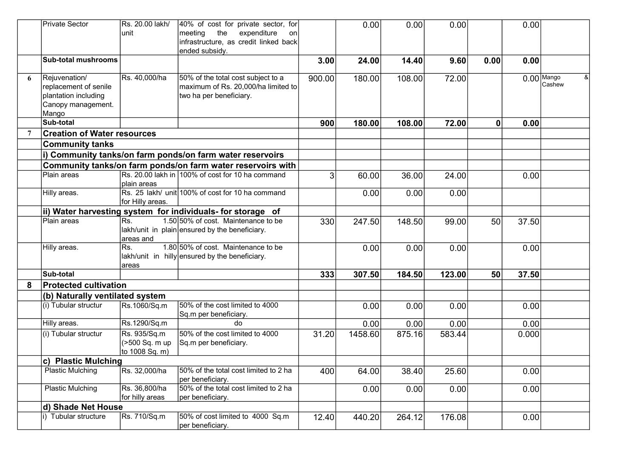|   | <b>Private Sector</b>                                                                         | Rs. 20.00 lakh/<br>unit                          | 40% of cost for private sector, for<br>the<br>meeting<br>expenditure<br>on<br>infrastructure, as credit linked back<br>ended subsidy. |        | 0.00    | 0.00   | 0.00   |              | 0.00  |                             |
|---|-----------------------------------------------------------------------------------------------|--------------------------------------------------|---------------------------------------------------------------------------------------------------------------------------------------|--------|---------|--------|--------|--------------|-------|-----------------------------|
|   | <b>Sub-total mushrooms</b>                                                                    |                                                  |                                                                                                                                       | 3.00   | 24.00   | 14.40  | 9.60   | 0.00         | 0.00  |                             |
| 6 | Rejuvenation/<br>replacement of senile<br>plantation including<br>Canopy management.<br>Mango | Rs. 40,000/ha                                    | 50% of the total cost subject to a<br>maximum of Rs. 20,000/ha limited to<br>two ha per beneficiary.                                  | 900.00 | 180.00  | 108.00 | 72.00  |              |       | $0.00$ Mango<br>&<br>Cashew |
|   | Sub-total                                                                                     |                                                  |                                                                                                                                       | 900    | 180.00  | 108.00 | 72.00  | $\mathbf{0}$ | 0.00  |                             |
|   | <b>Creation of Water resources</b>                                                            |                                                  |                                                                                                                                       |        |         |        |        |              |       |                             |
|   | <b>Community tanks</b>                                                                        |                                                  |                                                                                                                                       |        |         |        |        |              |       |                             |
|   |                                                                                               |                                                  | i) Community tanks/on farm ponds/on farm water reservoirs                                                                             |        |         |        |        |              |       |                             |
|   |                                                                                               |                                                  | Community tanks/on farm ponds/on farm water reservoirs with                                                                           |        |         |        |        |              |       |                             |
|   | Plain areas                                                                                   | plain areas                                      | Rs. 20.00 lakh in 100% of cost for 10 ha command                                                                                      | 3      | 60.00   | 36.00  | 24.00  |              | 0.00  |                             |
|   | Hilly areas.                                                                                  | for Hilly areas.                                 | Rs. 25 lakh/ unit 100% of cost for 10 ha command                                                                                      |        | 0.00    | 0.00   | 0.00   |              |       |                             |
|   |                                                                                               |                                                  | ii) Water harvesting system for individuals- for storage of                                                                           |        |         |        |        |              |       |                             |
|   | Plain areas                                                                                   | Rs.<br>areas and                                 | 1.50 50% of cost. Maintenance to be<br>$lakh/unit$ in plain ensured by the beneficiary.                                               | 330    | 247.50  | 148.50 | 99.00  | 50           | 37.50 |                             |
|   | Hilly areas.                                                                                  | Rs.<br>areas                                     | 1.80 50% of cost. Maintenance to be<br>lakh/unit in hilly ensured by the beneficiary.                                                 |        | 0.00    | 0.00   | 0.00   |              | 0.00  |                             |
|   | Sub-total                                                                                     |                                                  |                                                                                                                                       | 333    | 307.50  | 184.50 | 123.00 | 50           | 37.50 |                             |
| 8 | <b>Protected cultivation</b>                                                                  |                                                  |                                                                                                                                       |        |         |        |        |              |       |                             |
|   | (b) Naturally ventilated system                                                               |                                                  |                                                                                                                                       |        |         |        |        |              |       |                             |
|   | (i) Tubular structur                                                                          | Rs.1060/Sq.m                                     | 50% of the cost limited to 4000<br>Sq.m per beneficiary.                                                                              |        | 0.00    | 0.00   | 0.00   |              | 0.00  |                             |
|   | Hilly areas.                                                                                  | Rs.1290/Sq.m                                     | do                                                                                                                                    |        | 0.00    | 0.00   | 0.00   |              | 0.00  |                             |
|   | (i) Tubular structur                                                                          | Rs. 935/Sq.m<br>(>500 Sq. m up<br>to 1008 Sq. m) | 50% of the cost limited to 4000<br>Sq.m per beneficiary.                                                                              | 31.20  | 1458.60 | 875.16 | 583.44 |              | 0.000 |                             |
|   | c) Plastic Mulching                                                                           |                                                  |                                                                                                                                       |        |         |        |        |              |       |                             |
|   | <b>Plastic Mulching</b>                                                                       | Rs. 32,000/ha                                    | 50% of the total cost limited to 2 ha<br>per beneficiary.                                                                             | 400    | 64.00   | 38.40  | 25.60  |              | 0.00  |                             |
|   | <b>Plastic Mulching</b>                                                                       | Rs. 36,800/ha<br>for hilly areas                 | 50% of the total cost limited to 2 ha<br>per beneficiary.                                                                             |        | 0.00    | 0.00   | 0.00   |              | 0.00  |                             |
|   | d) Shade Net House                                                                            |                                                  |                                                                                                                                       |        |         |        |        |              |       |                             |
|   | i) Tubular structure                                                                          | Rs. 710/Sq.m                                     | 50% of cost limited to 4000 Sq.m<br>per beneficiary.                                                                                  | 12.40  | 440.20  | 264.12 | 176.08 |              | 0.00  |                             |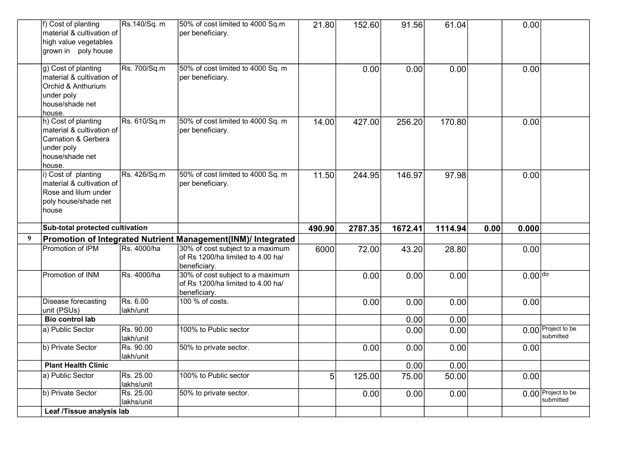|   | f) Cost of planting<br>material & cultivation of<br>high value vegetables<br>grown in poly house                   | Rs.140/Sq. m            | 50% of cost limited to 4000 Sq.m<br>per beneficiary.                                  | 21.80          | 152.60  | 91.56        | 61.04         |      | 0.00      |                                 |
|---|--------------------------------------------------------------------------------------------------------------------|-------------------------|---------------------------------------------------------------------------------------|----------------|---------|--------------|---------------|------|-----------|---------------------------------|
|   | g) Cost of planting<br>material & cultivation of<br>Orchid & Anthurium<br>under poly<br>house/shade net<br>house.  | Rs. 700/Sq.m            | 50% of cost limited to 4000 Sq. m<br>per beneficiary.                                 |                | 0.00    | 0.00         | 0.00          |      | 0.00      |                                 |
|   | h) Cost of planting<br>material & cultivation of<br>Carnation & Gerbera<br>under poly<br>house/shade net<br>house. | Rs. 610/Sq.m            | 50% of cost limited to 4000 Sq. m<br>per beneficiary.                                 | 14.00          | 427.00  | 256.20       | 170.80        |      | 0.00      |                                 |
|   | i) Cost of planting<br>material & cultivation of<br>Rose and lilum under<br>poly house/shade net<br>house          | Rs. 426/Sq.m            | 50% of cost limited to 4000 Sq. m<br>per beneficiary.                                 | 11.50          | 244.95  | 146.97       | 97.98         |      | 0.00      |                                 |
|   |                                                                                                                    |                         |                                                                                       |                |         |              |               |      |           |                                 |
|   | Sub-total protected cultivation                                                                                    |                         |                                                                                       | 490.90         | 2787.35 | 1672.41      | 1114.94       | 0.00 | 0.000     |                                 |
| 9 |                                                                                                                    |                         | Promotion of Integrated Nutrient Management(INM)/ Integrated                          |                |         |              |               |      |           |                                 |
|   | Promotion of IPM                                                                                                   | Rs. 4000/ha             | 30% of cost subject to a maximum<br>of Rs 1200/ha limited to 4.00 ha/<br>beneficiary. | 6000           | 72.00   | 43.20        | 28.80         |      | 0.00      |                                 |
|   | Promotion of INM                                                                                                   | Rs. 4000/ha             | 30% of cost subject to a maximum<br>of Rs 1200/ha limited to 4.00 ha/<br>beneficiary. |                | 0.00    | 0.00         | 0.00          |      | $0.00$ do |                                 |
|   | Disease forecasting                                                                                                | Rs. 6.00                | 100 % of costs.                                                                       |                | 0.00    | 0.00         | 0.00          |      | 0.00      |                                 |
|   | unit (PSUs)<br><b>Bio control lab</b>                                                                              | lakh/unit               |                                                                                       |                |         |              |               |      |           |                                 |
|   | a) Public Sector                                                                                                   | Rs. 90.00<br>lakh/unit  | 100% to Public sector                                                                 |                |         | 0.00<br>0.00 | 0.00<br>0.00  |      |           | 0.00 Project to be<br>submitted |
|   | b) Private Sector                                                                                                  | Rs. 90.00               | 50% to private sector.                                                                |                | 0.00    | 0.00         | 0.00          |      | 0.00      |                                 |
|   | <b>Plant Health Clinic</b>                                                                                         | lakh/unit               |                                                                                       |                |         | 0.00         |               |      |           |                                 |
|   | a) Public Sector                                                                                                   | Rs. 25.00<br>lakhs/unit | 100% to Public sector                                                                 | 5 <sup>1</sup> | 125.00  | 75.00        | 0.00<br>50.00 |      | 0.00      |                                 |
|   | b) Private Sector<br>Leaf /Tissue analysis lab                                                                     | Rs. 25.00<br>lakhs/unit | 50% to private sector.                                                                |                | 0.00    | 0.00         | 0.00          |      |           | 0.00 Project to be<br>submitted |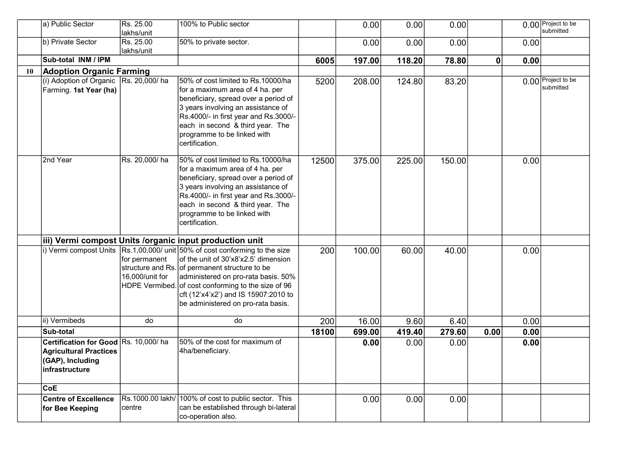|    | a) Public Sector                                                                                            | Rs. 25.00<br>lakhs/unit          | 100% to Public sector                                                                                                                                                                                                                                                                                                                                             |       | 0.00   | 0.00   | 0.00   |             |      | 0.00 Project to be<br>submitted |
|----|-------------------------------------------------------------------------------------------------------------|----------------------------------|-------------------------------------------------------------------------------------------------------------------------------------------------------------------------------------------------------------------------------------------------------------------------------------------------------------------------------------------------------------------|-------|--------|--------|--------|-------------|------|---------------------------------|
|    | b) Private Sector                                                                                           | Rs. 25.00                        | 50% to private sector.                                                                                                                                                                                                                                                                                                                                            |       | 0.00   | 0.00   | 0.00   |             | 0.00 |                                 |
|    |                                                                                                             | lakhs/unit                       |                                                                                                                                                                                                                                                                                                                                                                   |       |        |        |        |             |      |                                 |
|    | Sub-total INM / IPM                                                                                         |                                  |                                                                                                                                                                                                                                                                                                                                                                   | 6005  | 197.00 | 118.20 | 78.80  | $\mathbf 0$ | 0.00 |                                 |
| 10 | <b>Adoption Organic Farming</b>                                                                             |                                  |                                                                                                                                                                                                                                                                                                                                                                   |       |        |        |        |             |      |                                 |
|    | (i) Adoption of Organic   Rs. 20,000/ ha<br>Farming. 1st Year (ha)                                          |                                  | 50% of cost limited to Rs.10000/ha<br>for a maximum area of 4 ha. per<br>beneficiary, spread over a period of<br>3 years involving an assistance of<br>Rs.4000/- in first year and Rs.3000/-<br>each in second & third year. The<br>programme to be linked with<br>certification.                                                                                 | 5200  | 208.00 | 124.80 | 83.20  |             |      | 0.00 Project to be<br>submitted |
|    | 2nd Year                                                                                                    | Rs. 20,000/ha                    | 50% of cost limited to Rs.10000/ha<br>for a maximum area of 4 ha. per<br>beneficiary, spread over a period of<br>3 years involving an assistance of<br>Rs.4000/- in first year and Rs.3000/-<br>each in second & third year. The<br>programme to be linked with<br>certification.                                                                                 | 12500 | 375.00 | 225.00 | 150.00 |             | 0.00 |                                 |
|    |                                                                                                             |                                  | iii) Vermi compost Units / organic input production unit                                                                                                                                                                                                                                                                                                          |       |        |        |        |             |      |                                 |
|    |                                                                                                             | for permanent<br>16,000/unit for | i) Vermi compost Units $\vert$ Rs.1,00,000/ unit $\vert$ 50% of cost conforming to the size<br>of the unit of 30'x8'x2.5' dimension<br>structure and Rs. of permanent structure to be<br>administered on pro-rata basis. 50%<br>HDPE Vermibed. of cost conforming to the size of 96<br>cft (12'x4'x2') and IS 15907:2010 to<br>be administered on pro-rata basis. | 200   | 100.00 | 60.00  | 40.00  |             | 0.00 |                                 |
|    | ii) Vermibeds                                                                                               | do                               | do                                                                                                                                                                                                                                                                                                                                                                | 200   | 16.00  | 9.60   | 6.40   |             | 0.00 |                                 |
|    | Sub-total                                                                                                   |                                  |                                                                                                                                                                                                                                                                                                                                                                   | 18100 | 699.00 | 419.40 | 279.60 | 0.00        | 0.00 |                                 |
|    | Certification for Good Rs. 10,000/ha<br><b>Agricultural Practices</b><br>(GAP), Including<br>infrastructure |                                  | 50% of the cost for maximum of<br>4ha/beneficiary.                                                                                                                                                                                                                                                                                                                |       | 0.00   | 0.00   | 0.00   |             | 0.00 |                                 |
|    | CoE                                                                                                         |                                  |                                                                                                                                                                                                                                                                                                                                                                   |       |        |        |        |             |      |                                 |
|    | <b>Centre of Excellence</b><br>for Bee Keeping                                                              | centre                           | Rs.1000.00 lakh/ 100% of cost to public sector. This<br>can be established through bi-lateral<br>co-operation also.                                                                                                                                                                                                                                               |       | 0.00   | 0.00   | 0.00   |             |      |                                 |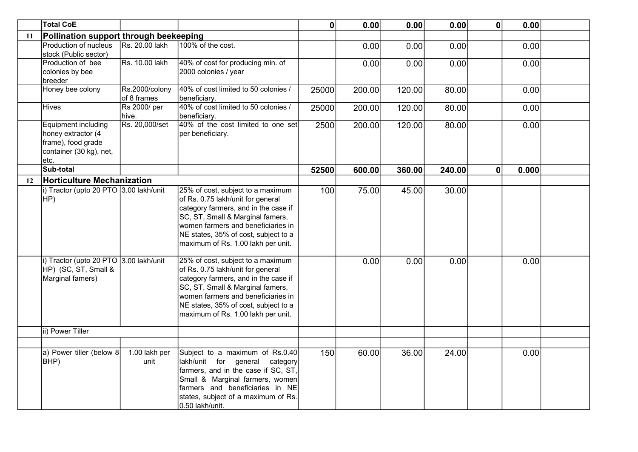|    | <b>Total CoE</b>                                                                                           |                               |                                                                                                                                                                                                                                                                        | 0     | 0.00   | 0.00   | 0.00   | $\mathbf 0$  | 0.00  |  |
|----|------------------------------------------------------------------------------------------------------------|-------------------------------|------------------------------------------------------------------------------------------------------------------------------------------------------------------------------------------------------------------------------------------------------------------------|-------|--------|--------|--------|--------------|-------|--|
| 11 | Pollination support through beekeeping                                                                     |                               |                                                                                                                                                                                                                                                                        |       |        |        |        |              |       |  |
|    | Production of nucleus<br>stock (Public sector)                                                             | Rs. 20.00 lakh                | 100% of the cost.                                                                                                                                                                                                                                                      |       | 0.00   | 0.00   | 0.00   |              | 0.00  |  |
|    | Production of bee<br>colonies by bee<br>breeder                                                            | Rs. 10.00 lakh                | 40% of cost for producing min. of<br>2000 colonies / year                                                                                                                                                                                                              |       | 0.00   | 0.00   | 0.00   |              | 0.00  |  |
|    | Honey bee colony                                                                                           | Rs.2000/colony<br>of 8 frames | 40% of cost limited to 50 colonies /<br>beneficiary.                                                                                                                                                                                                                   | 25000 | 200.00 | 120.00 | 80.00  |              | 0.00  |  |
|    | <b>Hives</b>                                                                                               | Rs 2000/ per<br>hive.         | 40% of cost limited to 50 colonies /<br>beneficiary.                                                                                                                                                                                                                   | 25000 | 200.00 | 120.00 | 80.00  |              | 0.00  |  |
|    | <b>Equipment including</b><br>honey extractor (4<br>frame), food grade<br>container (30 kg), net,<br>letc. | Rs. 20,000/set                | 40% of the cost limited to one set<br>per beneficiary.                                                                                                                                                                                                                 | 2500  | 200.00 | 120.00 | 80.00  |              | 0.00  |  |
|    | Sub-total                                                                                                  |                               |                                                                                                                                                                                                                                                                        | 52500 | 600.00 | 360.00 | 240.00 | $\mathbf{0}$ | 0.000 |  |
| 12 | <b>Horticulture Mechanization</b>                                                                          |                               |                                                                                                                                                                                                                                                                        |       |        |        |        |              |       |  |
|    | i) Tractor (upto 20 PTO 3.00 lakh/unit<br>HP)                                                              |                               | 25% of cost, subject to a maximum<br>of Rs. 0.75 lakh/unit for general<br>category farmers, and in the case if<br>SC, ST, Small & Marginal famers,<br>women farmers and beneficiaries in<br>NE states, 35% of cost, subject to a<br>maximum of Rs. 1.00 lakh per unit. | 100   | 75.00  | 45.00  | 30.00  |              |       |  |
|    | i) Tractor (upto 20 PTO 3.00 lakh/unit<br>HP) (SC, ST, Small &<br>Marginal famers)                         |                               | 25% of cost, subject to a maximum<br>of Rs. 0.75 lakh/unit for general<br>category farmers, and in the case if<br>SC, ST, Small & Marginal famers,<br>women farmers and beneficiaries in<br>NE states, 35% of cost, subject to a<br>maximum of Rs. 1.00 lakh per unit. |       | 0.00   | 0.00   | 0.00   |              | 0.00  |  |
|    | ii) Power Tiller                                                                                           |                               |                                                                                                                                                                                                                                                                        |       |        |        |        |              |       |  |
|    |                                                                                                            |                               |                                                                                                                                                                                                                                                                        |       |        |        |        |              |       |  |
|    | a) Power tiller (below 8<br>BHP)                                                                           | 1.00 lakh per<br>unit         | Subject to a maximum of Rs.0.40<br>lakh/unit for general category<br>farmers, and in the case if SC, ST,<br>Small & Marginal farmers, women<br>farmers and beneficiaries in NE<br>states, subject of a maximum of Rs.<br>0.50 lakh/unit.                               | 150   | 60.00  | 36.00  | 24.00  |              | 0.00  |  |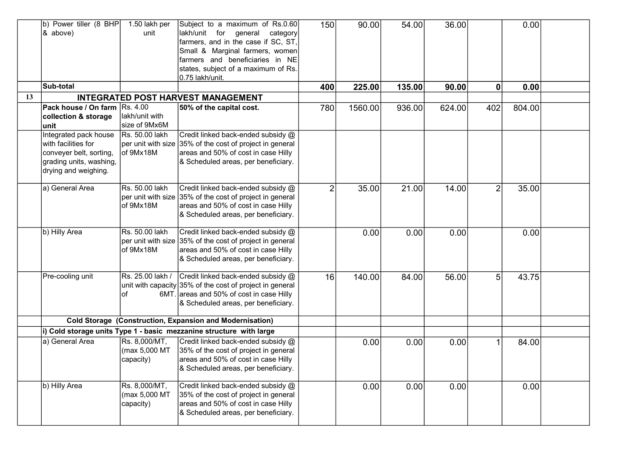|    | b) Power tiller (8 BHP<br>$\&$ above)<br>Sub-total                                                                         | 1.50 lakh per<br>unit                       | Subject to a maximum of Rs.0.60<br>lakh/unit for general<br>category<br>farmers, and in the case if SC, ST,<br>Small & Marginal farmers, women<br>farmers and beneficiaries in NE<br>states, subject of a maximum of Rs.<br>0.75 lakh/unit. | 150<br>400     | 90.00<br>225.00 | 54.00<br>135.00 | 36.00<br>90.00 | $\boldsymbol{0}$ | 0.00<br>0.00 |  |
|----|----------------------------------------------------------------------------------------------------------------------------|---------------------------------------------|---------------------------------------------------------------------------------------------------------------------------------------------------------------------------------------------------------------------------------------------|----------------|-----------------|-----------------|----------------|------------------|--------------|--|
| 13 |                                                                                                                            |                                             | <b>INTEGRATED POST HARVEST MANAGEMENT</b>                                                                                                                                                                                                   |                |                 |                 |                |                  |              |  |
|    | Pack house / On farm Rs. 4.00                                                                                              |                                             | 50% of the capital cost.                                                                                                                                                                                                                    | 780            | 1560.00         | 936.00          | 624.00         | 402              | 804.00       |  |
|    | collection & storage<br>lunit                                                                                              | lakh/unit with<br>size of 9Mx6M             |                                                                                                                                                                                                                                             |                |                 |                 |                |                  |              |  |
|    | Integrated pack house<br>with facilities for<br>conveyer belt, sorting,<br>grading units, washing,<br>drying and weighing. | Rs. 50.00 lakh<br>of 9Mx18M                 | Credit linked back-ended subsidy @<br>$ $ per unit with size $ 35\%$ of the cost of project in general<br>areas and 50% of cost in case Hilly<br>& Scheduled areas, per beneficiary.                                                        |                |                 |                 |                |                  |              |  |
|    | a) General Area                                                                                                            | Rs. 50.00 lakh<br>of 9Mx18M                 | Credit linked back-ended subsidy @<br>per unit with size 35% of the cost of project in general<br>areas and 50% of cost in case Hilly<br>& Scheduled areas, per beneficiary.                                                                | $\overline{2}$ | 35.00           | 21.00           | 14.00          | $\overline{2}$   | 35.00        |  |
|    | b) Hilly Area                                                                                                              | Rs. 50.00 lakh<br>of 9Mx18M                 | Credit linked back-ended subsidy @<br>per unit with size 35% of the cost of project in general<br>areas and 50% of cost in case Hilly<br>& Scheduled areas, per beneficiary.                                                                |                | 0.00            | 0.00            | 0.00           |                  | 0.00         |  |
|    | Pre-cooling unit                                                                                                           | lof                                         | $\overline{R}$ s. 25.00 lakh / $\overline{C}$ redit linked back-ended subsidy $\omega$<br>unit with capacity 35% of the cost of project in general<br>6MT. areas and 50% of cost in case Hilly<br>& Scheduled areas, per beneficiary.       | 16             | 140.00          | 84.00           | 56.00          | 5                | 43.75        |  |
|    |                                                                                                                            |                                             | <b>Cold Storage (Construction, Expansion and Modernisation)</b>                                                                                                                                                                             |                |                 |                 |                |                  |              |  |
|    |                                                                                                                            |                                             | $\left  i \right\rangle$ Cold storage units Type 1 - basic mezzanine structure with large                                                                                                                                                   |                |                 |                 |                |                  |              |  |
|    | a) General Area                                                                                                            | Rs. 8,000/MT,<br>(max 5,000 MT<br>capacity) | Credit linked back-ended subsidy @<br>35% of the cost of project in general<br>areas and 50% of cost in case Hilly<br>& Scheduled areas, per beneficiary.                                                                                   |                | 0.00            | 0.00            | 0.00           |                  | 84.00        |  |
|    | b) Hilly Area                                                                                                              | Rs. 8,000/MT,<br>(max 5,000 MT<br>capacity) | Credit linked back-ended subsidy @<br>35% of the cost of project in general<br>areas and 50% of cost in case Hilly<br>& Scheduled areas, per beneficiary.                                                                                   |                | 0.00            | 0.00            | 0.00           |                  | 0.00         |  |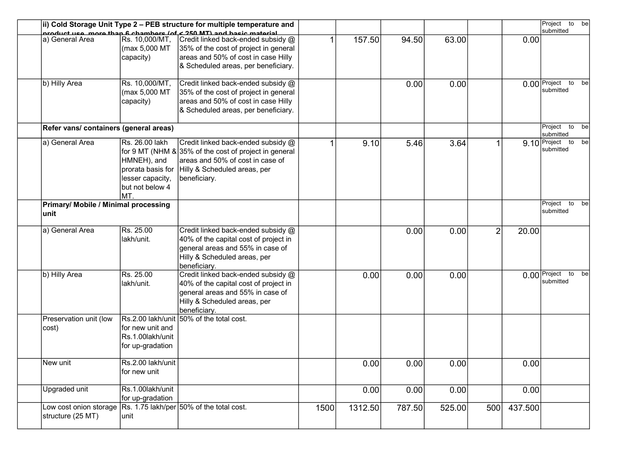|                                             |                                                                                                  | ii) Cold Storage Unit Type 2 – PEB structure for multiple temperature and                                                                                                         |      |         |        |        |                |         | Project to be                        |
|---------------------------------------------|--------------------------------------------------------------------------------------------------|-----------------------------------------------------------------------------------------------------------------------------------------------------------------------------------|------|---------|--------|--------|----------------|---------|--------------------------------------|
|                                             |                                                                                                  | product use more than 6 chambers (of < 250 MT) and basic material                                                                                                                 |      |         |        |        |                |         | submitted                            |
| ∣a) General Area                            | Rs. 10,000/MT,<br>(max 5,000 MT<br>capacity)                                                     | Credit linked back-ended subsidy @<br>35% of the cost of project in general<br>areas and 50% of cost in case Hilly<br>& Scheduled areas, per beneficiary.                         |      | 157.50  | 94.50  | 63.00  |                | 0.00    |                                      |
| b) Hilly Area                               | Rs. 10,000/MT,<br>(max 5,000 MT<br>capacity)                                                     | Credit linked back-ended subsidy @<br>35% of the cost of project in general<br>areas and 50% of cost in case Hilly<br>& Scheduled areas, per beneficiary.                         |      |         | 0.00   | 0.00   |                |         | $0.00$ Project<br>to be<br>submitted |
| Refer vans/ containers (general areas)      |                                                                                                  |                                                                                                                                                                                   |      |         |        |        |                |         | Project<br>to be<br>submitted        |
| a) General Area                             | Rs. 26.00 lakh<br>HMNEH), and<br>prorata basis for<br>lesser capacity,<br>but not below 4<br>MT. | Credit linked back-ended subsidy @<br>for 9 MT (NHM $&$ 35% of the cost of project in general<br>areas and 50% of cost in case of<br>Hilly & Scheduled areas, per<br>beneficiary. |      | 9.10    | 5.46   | 3.64   |                |         | 9.10 Project to be<br>submitted      |
| Primary/ Mobile / Minimal processing        |                                                                                                  |                                                                                                                                                                                   |      |         |        |        |                |         | Project<br>to be<br>submitted        |
| lunit                                       |                                                                                                  |                                                                                                                                                                                   |      |         |        |        |                |         |                                      |
| ∣a) General Area                            | Rs. 25.00<br>lakh/unit.                                                                          | Credit linked back-ended subsidy @<br>40% of the capital cost of project in<br>general areas and 55% in case of<br>Hilly & Scheduled areas, per<br>beneficiary.                   |      |         | 0.00   | 0.00   | $\overline{2}$ | 20.00   |                                      |
| b) Hilly Area                               | Rs. 25.00<br>lakh/unit.                                                                          | Credit linked back-ended subsidy @<br>40% of the capital cost of project in<br>general areas and 55% in case of<br>Hilly & Scheduled areas, per<br>beneficiary.                   |      | 0.00    | 0.00   | 0.00   |                |         | $0.00$ Project<br>to be<br>submitted |
| Preservation unit (low<br>cost)             | for new unit and<br>Rs.1.00lakh/unit<br>for up-gradation                                         | Rs.2.00 lakh/unit 50% of the total cost.                                                                                                                                          |      |         |        |        |                |         |                                      |
| New unit                                    | Rs.2.00 lakh/unit<br>for new unit                                                                |                                                                                                                                                                                   |      | 0.00    | 0.00   | 0.00   |                | 0.00    |                                      |
| Upgraded unit                               | Rs.1.00lakh/unit<br>for up-gradation                                                             |                                                                                                                                                                                   |      | 0.00    | 0.00   | 0.00   |                | 0.00    |                                      |
| Low cost onion storage<br>structure (25 MT) | unit                                                                                             | Rs. 1.75 lakh/per 50% of the total cost.                                                                                                                                          | 1500 | 1312.50 | 787.50 | 525.00 | 500            | 437.500 |                                      |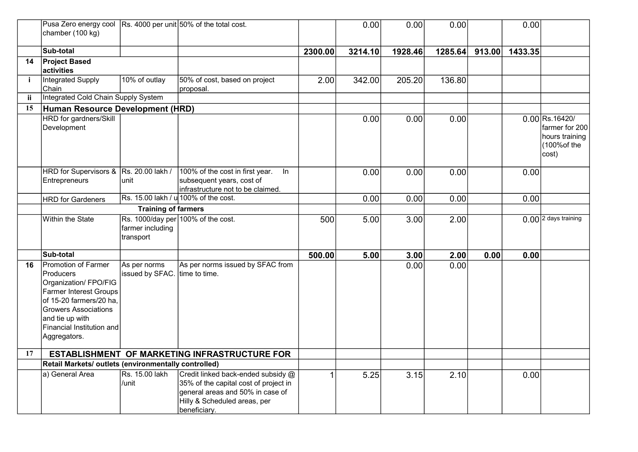|     | Pusa Zero energy cool Rs. 4000 per unit 50% of the total cost.<br>chamber (100 kg)                                                                                                                                   |                                               |                                                                                                                                                                 |         | 0.00    | 0.00    | 0.00    |        | 0.00    |                                                                             |
|-----|----------------------------------------------------------------------------------------------------------------------------------------------------------------------------------------------------------------------|-----------------------------------------------|-----------------------------------------------------------------------------------------------------------------------------------------------------------------|---------|---------|---------|---------|--------|---------|-----------------------------------------------------------------------------|
|     | Sub-total                                                                                                                                                                                                            |                                               |                                                                                                                                                                 | 2300.00 | 3214.10 | 1928.46 | 1285.64 | 913.00 | 1433.35 |                                                                             |
| 14  | <b>Project Based</b><br>activities                                                                                                                                                                                   |                                               |                                                                                                                                                                 |         |         |         |         |        |         |                                                                             |
| j.  | Integrated Supply<br>Chain                                                                                                                                                                                           | 10% of outlay                                 | 50% of cost, based on project<br>proposal.                                                                                                                      | 2.00    | 342.00  | 205.20  | 136.80  |        |         |                                                                             |
| ii. | Integrated Cold Chain Supply System                                                                                                                                                                                  |                                               |                                                                                                                                                                 |         |         |         |         |        |         |                                                                             |
| 15  | Human Resource Development (HRD)                                                                                                                                                                                     |                                               |                                                                                                                                                                 |         |         |         |         |        |         |                                                                             |
|     | <b>HRD</b> for gardners/Skill<br>Development                                                                                                                                                                         |                                               |                                                                                                                                                                 |         | 0.00    | 0.00    | 0.00    |        |         | 0.00 Rs.16420/<br>farmer for 200<br>hours training<br>(100% of the<br>cost) |
|     | HRD for Supervisors & Rs. 20.00 lakh /<br><b>Entrepreneurs</b>                                                                                                                                                       | unit                                          | 100% of the cost in first year.<br>ln<br>subsequent years, cost of<br>infrastructure not to be claimed.                                                         |         | 0.00    | 0.00    | 0.00    |        | 0.00    |                                                                             |
|     | <b>HRD</b> for Gardeners                                                                                                                                                                                             |                                               | Rs. 15.00 lakh / u 100% of the cost.                                                                                                                            |         | 0.00    | 0.00    | 0.00    |        | 0.00    |                                                                             |
|     | <b>Training of farmers</b>                                                                                                                                                                                           |                                               |                                                                                                                                                                 |         |         |         |         |        |         |                                                                             |
|     | Within the State                                                                                                                                                                                                     | farmer including<br>transport                 | Rs. 1000/day per 100% of the cost.                                                                                                                              | 500     | 5.00    | 3.00    | 2.00    |        |         | 0.00 2 days training                                                        |
|     | Sub-total                                                                                                                                                                                                            |                                               |                                                                                                                                                                 | 500.00  | 5.00    | 3.00    | 2.00    | 0.00   | 0.00    |                                                                             |
| 16  | Promotion of Farmer<br>Producers<br>Organization/ FPO/FIG<br><b>Farmer Interest Groups</b><br>of 15-20 farmers/20 ha.<br><b>Growers Associations</b><br>and tie up with<br>Financial Institution and<br>Aggregators. | As per norms<br>issued by SFAC. time to time. | As per norms issued by SFAC from                                                                                                                                |         |         | 0.00    | 0.00    |        |         |                                                                             |
| 17  |                                                                                                                                                                                                                      |                                               | ESTABLISHMENT OF MARKETING INFRASTRUCTURE FOR                                                                                                                   |         |         |         |         |        |         |                                                                             |
|     | Retail Markets/ outlets (environmentally controlled)                                                                                                                                                                 |                                               |                                                                                                                                                                 |         |         |         |         |        |         |                                                                             |
|     | a) General Area                                                                                                                                                                                                      | Rs. 15.00 lakh<br>/unit                       | Credit linked back-ended subsidy @<br>35% of the capital cost of project in<br>general areas and 50% in case of<br>Hilly & Scheduled areas, per<br>beneficiary. | 1       | 5.25    | 3.15    | 2.10    |        | 0.00    |                                                                             |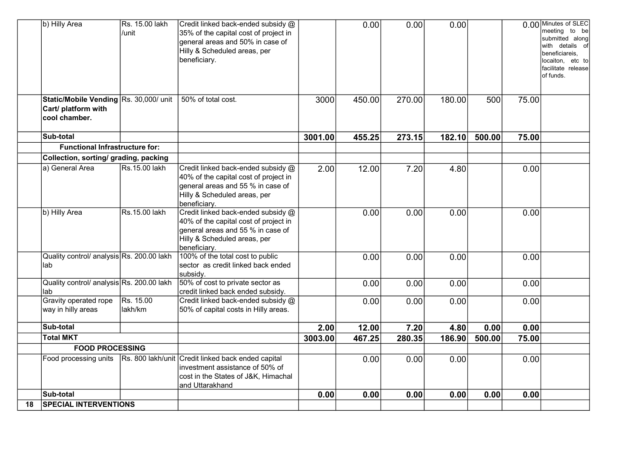|    | b) Hilly Area                                                                  | Rs. 15.00 lakh<br>/unit | Credit linked back-ended subsidy @<br>35% of the capital cost of project in<br>general areas and 50% in case of<br>Hilly & Scheduled areas, per<br>beneficiary.  |         | 0.00   | 0.00   | 0.00   |        |       | 0.00 Minutes of SLEC<br>meeting to be<br>submitted along<br>with details of<br>beneficiareis,<br>ocaiton, etc to<br>facilitate release<br>of funds. |
|----|--------------------------------------------------------------------------------|-------------------------|------------------------------------------------------------------------------------------------------------------------------------------------------------------|---------|--------|--------|--------|--------|-------|-----------------------------------------------------------------------------------------------------------------------------------------------------|
|    | Static/Mobile Vending Rs. 30,000/ unit<br>Cart/ platform with<br>cool chamber. |                         | 50% of total cost.                                                                                                                                               | 3000    | 450.00 | 270.00 | 180.00 | 500    | 75.00 |                                                                                                                                                     |
|    | Sub-total                                                                      |                         |                                                                                                                                                                  | 3001.00 | 455.25 | 273.15 | 182.10 | 500.00 | 75.00 |                                                                                                                                                     |
|    | <b>Functional Infrastructure for:</b>                                          |                         |                                                                                                                                                                  |         |        |        |        |        |       |                                                                                                                                                     |
|    | Collection, sorting/ grading, packing                                          |                         |                                                                                                                                                                  |         |        |        |        |        |       |                                                                                                                                                     |
|    | a) General Area                                                                | Rs.15.00 lakh           | Credit linked back-ended subsidy @<br>40% of the capital cost of project in<br>general areas and 55 % in case of<br>Hilly & Scheduled areas, per<br>beneficiary. | 2.00    | 12.00  | 7.20   | 4.80   |        | 0.00  |                                                                                                                                                     |
|    | b) Hilly Area                                                                  | Rs.15.00 lakh           | Credit linked back-ended subsidy @<br>40% of the capital cost of project in<br>general areas and 55 % in case of<br>Hilly & Scheduled areas, per<br>beneficiary. |         | 0.00   | 0.00   | 0.00   |        | 0.00  |                                                                                                                                                     |
|    | Quality control/ analysis Rs. 200.00 lakh<br>lab                               |                         | 100% of the total cost to public<br>sector as credit linked back ended<br>subsidy.                                                                               |         | 0.00   | 0.00   | 0.00   |        | 0.00  |                                                                                                                                                     |
|    | Quality control/ analysis Rs. 200.00 lakh<br>lab                               |                         | 50% of cost to private sector as<br>credit linked back ended subsidy.                                                                                            |         | 0.00   | 0.00   | 0.00   |        | 0.00  |                                                                                                                                                     |
|    | Gravity operated rope<br>way in hilly areas                                    | Rs. 15.00<br>lakh/km    | Credit linked back-ended subsidy @<br>50% of capital costs in Hilly areas.                                                                                       |         | 0.00   | 0.00   | 0.00   |        | 0.00  |                                                                                                                                                     |
|    | Sub-total                                                                      |                         |                                                                                                                                                                  | 2.00    | 12.00  | 7.20   | 4.80   | 0.00   | 0.00  |                                                                                                                                                     |
|    | <b>Total MKT</b>                                                               |                         |                                                                                                                                                                  | 3003.00 | 467.25 | 280.35 | 186.90 | 500.00 | 75.00 |                                                                                                                                                     |
|    | <b>FOOD PROCESSING</b>                                                         |                         |                                                                                                                                                                  |         |        |        |        |        |       |                                                                                                                                                     |
|    | Food processing units                                                          |                         | Rs. 800 lakh/unit Credit linked back ended capital<br>investment assistance of 50% of<br>cost in the States of J&K, Himachal<br>and Uttarakhand                  |         | 0.00   | 0.00   | 0.00   |        | 0.00  |                                                                                                                                                     |
|    | Sub-total                                                                      |                         |                                                                                                                                                                  | 0.00    | 0.00   | 0.00   | 0.00   | 0.00   | 0.00  |                                                                                                                                                     |
| 18 | <b>SPECIAL INTERVENTIONS</b>                                                   |                         |                                                                                                                                                                  |         |        |        |        |        |       |                                                                                                                                                     |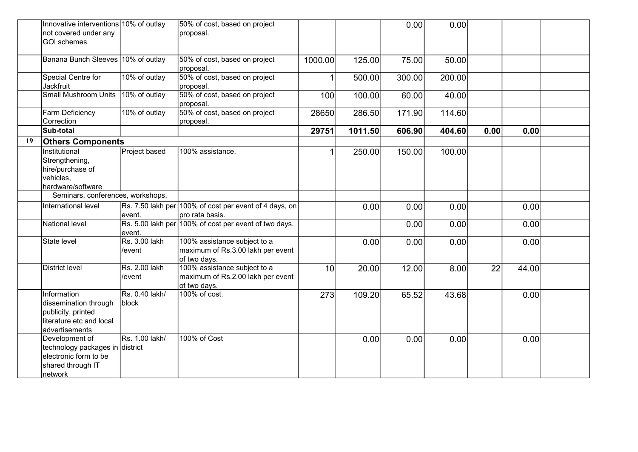|    | Innovative interventions 10% of outlay<br>not covered under any<br>GOI schemes                               |                         | 50% of cost, based on project<br>proposal.                                        |         |         | 0.00   | 0.00   |      |       |  |
|----|--------------------------------------------------------------------------------------------------------------|-------------------------|-----------------------------------------------------------------------------------|---------|---------|--------|--------|------|-------|--|
|    | Banana Bunch Sleeves 10% of outlay                                                                           |                         | 50% of cost, based on project<br>proposal.                                        | 1000.00 | 125.00  | 75.00  | 50.00  |      |       |  |
|    | Special Centre for<br>Jackfruit                                                                              | 10% of outlay           | 50% of cost, based on project<br>proposal.                                        | 1       | 500.00  | 300.00 | 200.00 |      |       |  |
|    | <b>Small Mushroom Units</b>                                                                                  | 10% of outlay           | 50% of cost, based on project<br>proposal.                                        | 100     | 100.00  | 60.00  | 40.00  |      |       |  |
|    | <b>Farm Deficiency</b><br>Correction                                                                         | 10% of outlay           | 50% of cost, based on project<br>proposal.                                        | 28650   | 286.50  | 171.90 | 114.60 |      |       |  |
|    | Sub-total                                                                                                    |                         |                                                                                   | 29751   | 1011.50 | 606.90 | 404.60 | 0.00 | 0.00  |  |
| 19 | <b>Others Components</b>                                                                                     |                         |                                                                                   |         |         |        |        |      |       |  |
|    | Institutional<br>Strengthening,<br>hire/purchase of<br>vehicles,<br>hardware/software                        | Project based           | 100% assistance.                                                                  |         | 250.00  | 150.00 | 100.00 |      |       |  |
|    | Seminars, conferences, workshops,                                                                            |                         |                                                                                   |         |         |        |        |      |       |  |
|    | International level                                                                                          | event.                  | Rs. 7.50 lakh per 100% of cost per event of 4 days, on<br>pro rata basis.         |         | 0.00    | 0.00   | 0.00   |      | 0.00  |  |
|    | National level                                                                                               | event.                  | Rs. 5.00 lakh per 100% of cost per event of two days.                             |         |         | 0.00   | 0.00   |      | 0.00  |  |
|    | State level                                                                                                  | Rs. 3.00 lakh<br>/event | 100% assistance subject to a<br>maximum of Rs.3.00 lakh per event<br>of two days. |         | 0.00    | 0.00   | 0.00   |      | 0.00  |  |
|    | District level                                                                                               | Rs. 2.00 lakh<br>/event | 100% assistance subject to a<br>maximum of Rs.2.00 lakh per event<br>of two days. | 10      | 20.00   | 12.00  | 8.00   | 22   | 44.00 |  |
|    | Information<br>dissemination through<br>publicity, printed<br>lliterature etc and local<br>advertisements    | Rs. 0.40 lakh/<br>block | 100% of cost.                                                                     | 273     | 109.20  | 65.52  | 43.68  |      | 0.00  |  |
|    | Development of<br>∣technology packages in ∣district<br>electronic form to be<br>shared through IT<br>network | Rs. 1.00 lakh/          | 100% of Cost                                                                      |         | 0.00    | 0.00   | 0.00   |      | 0.00  |  |